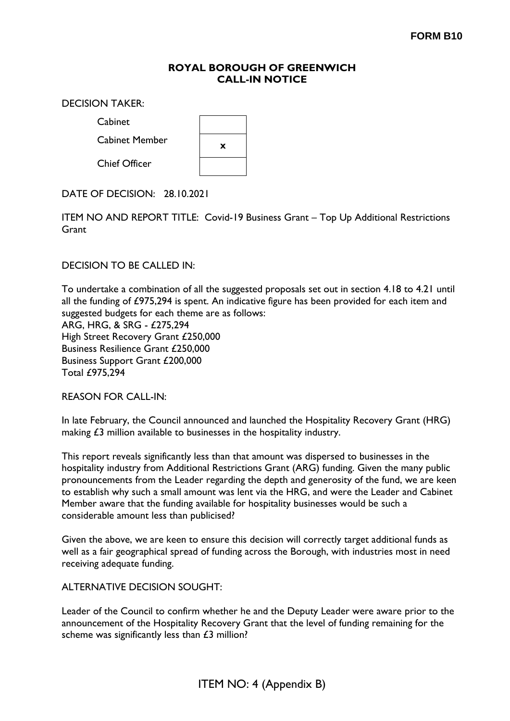## **ROYAL BOROUGH OF GREENWICH CALL-IN NOTICE**

DECISION TAKER:

Cabin

| Cabinet              |   |
|----------------------|---|
| Cabinet Member       | x |
| <b>Chief Officer</b> |   |

 $\blacksquare$ 

DATE OF DECISION: 28.10.2021

ITEM NO AND REPORT TITLE: Covid-19 Business Grant – Top Up Additional Restrictions **Grant** 

DECISION TO BE CALLED IN:

To undertake a combination of all the suggested proposals set out in section 4.18 to 4.21 until all the funding of £975,294 is spent. An indicative figure has been provided for each item and suggested budgets for each theme are as follows: ARG, HRG, & SRG - £275,294 High Street Recovery Grant £250,000 Business Resilience Grant £250,000 Business Support Grant £200,000 Total £975,294

REASON FOR CALL-IN:

In late February, the Council announced and launched the Hospitality Recovery Grant (HRG) making £3 million available to businesses in the hospitality industry.

This report reveals significantly less than that amount was dispersed to businesses in the hospitality industry from Additional Restrictions Grant (ARG) funding. Given the many public pronouncements from the Leader regarding the depth and generosity of the fund, we are keen to establish why such a small amount was lent via the HRG, and were the Leader and Cabinet Member aware that the funding available for hospitality businesses would be such a considerable amount less than publicised?

Given the above, we are keen to ensure this decision will correctly target additional funds as well as a fair geographical spread of funding across the Borough, with industries most in need receiving adequate funding.

ALTERNATIVE DECISION SOUGHT:

Leader of the Council to confirm whether he and the Deputy Leader were aware prior to the announcement of the Hospitality Recovery Grant that the level of funding remaining for the scheme was significantly less than £3 million?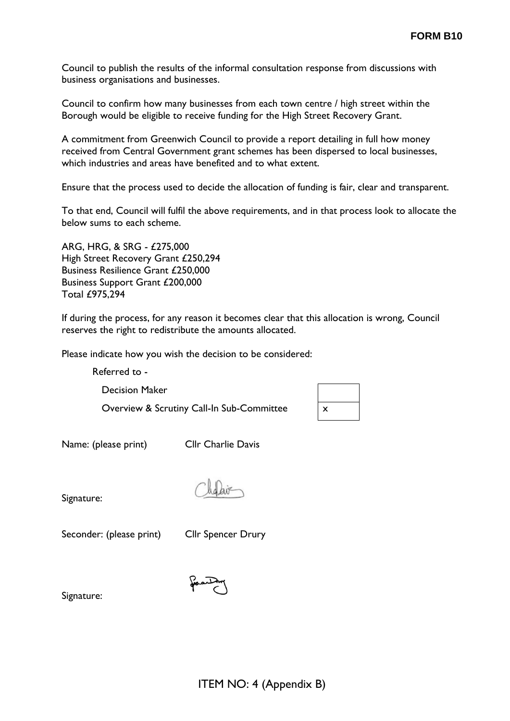Council to publish the results of the informal consultation response from discussions with business organisations and businesses.

Council to confirm how many businesses from each town centre / high street within the Borough would be eligible to receive funding for the High Street Recovery Grant.

A commitment from Greenwich Council to provide a report detailing in full how money received from Central Government grant schemes has been dispersed to local businesses, which industries and areas have benefited and to what extent.

Ensure that the process used to decide the allocation of funding is fair, clear and transparent.

To that end, Council will fulfil the above requirements, and in that process look to allocate the below sums to each scheme.

ARG, HRG, & SRG - £275,000 High Street Recovery Grant £250,294 Business Resilience Grant £250,000 Business Support Grant £200,000 Total £975,294

If during the process, for any reason it becomes clear that this allocation is wrong, Council reserves the right to redistribute the amounts allocated.

Please indicate how you wish the decision to be considered:

Referred to -

Decision Maker

Overview & Scrutiny Call-In Sub-Committee

| X |  |
|---|--|

Name: (please print) Cllr Charlie Davis

Signature:

Seconder: (please print) Cllr Spencer Drury

Signature: